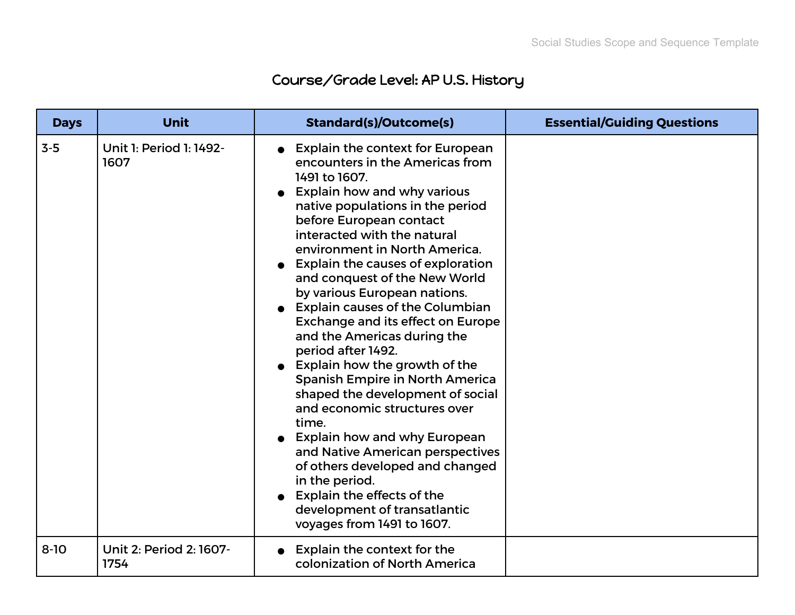## Course/Grade Level: AP U.S. History

| <b>Days</b> | <b>Unit</b>                     | <b>Standard(s)/Outcome(s)</b>                                                                                                                                                                                                                                                                                                                                                                                                                                                                                                                                                                                                                                                                                                                                                                                                                                                                           | <b>Essential/Guiding Questions</b> |
|-------------|---------------------------------|---------------------------------------------------------------------------------------------------------------------------------------------------------------------------------------------------------------------------------------------------------------------------------------------------------------------------------------------------------------------------------------------------------------------------------------------------------------------------------------------------------------------------------------------------------------------------------------------------------------------------------------------------------------------------------------------------------------------------------------------------------------------------------------------------------------------------------------------------------------------------------------------------------|------------------------------------|
| $3-5$       | Unit 1: Period 1: 1492-<br>1607 | • Explain the context for European<br>encounters in the Americas from<br>1491 to 1607.<br><b>Explain how and why various</b><br>native populations in the period<br>before European contact<br>interacted with the natural<br>environment in North America.<br><b>Explain the causes of exploration</b><br>and conquest of the New World<br>by various European nations.<br><b>Explain causes of the Columbian</b><br>Exchange and its effect on Europe<br>and the Americas during the<br>period after 1492.<br>Explain how the growth of the<br><b>Spanish Empire in North America</b><br>shaped the development of social<br>and economic structures over<br>time.<br><b>Explain how and why European</b><br>and Native American perspectives<br>of others developed and changed<br>in the period.<br><b>Explain the effects of the</b><br>development of transatlantic<br>voyages from 1491 to 1607. |                                    |
| $8 - 10$    | Unit 2: Period 2: 1607-<br>1754 | <b>Explain the context for the</b><br>colonization of North America                                                                                                                                                                                                                                                                                                                                                                                                                                                                                                                                                                                                                                                                                                                                                                                                                                     |                                    |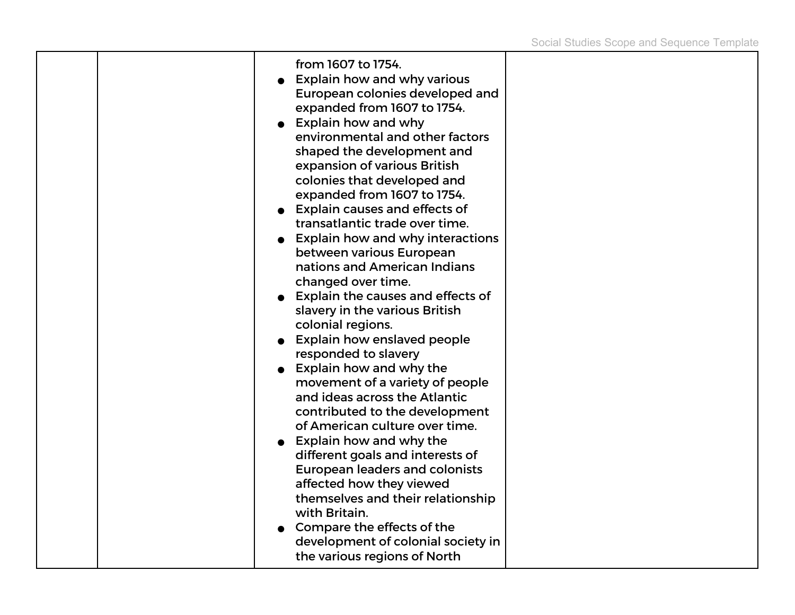|  | from 1607 to 1754.<br><b>Explain how and why various</b><br>European colonies developed and<br>expanded from 1607 to 1754.<br><b>Explain how and why</b><br>environmental and other factors<br>shaped the development and<br>expansion of various British<br>colonies that developed and<br>expanded from 1607 to 1754.<br><b>Explain causes and effects of</b><br>transatlantic trade over time.<br><b>Explain how and why interactions</b><br>between various European<br>nations and American Indians<br>changed over time.<br>Explain the causes and effects of<br>slavery in the various British<br>colonial regions.<br><b>Explain how enslaved people</b><br>responded to slavery<br><b>Explain how and why the</b><br>movement of a variety of people<br>and ideas across the Atlantic<br>contributed to the development<br>of American culture over time.<br><b>Explain how and why the</b><br>different goals and interests of<br><b>European leaders and colonists</b><br>affected how they viewed<br>themselves and their relationship<br>with Britain.<br>Compare the effects of the |  |
|--|---------------------------------------------------------------------------------------------------------------------------------------------------------------------------------------------------------------------------------------------------------------------------------------------------------------------------------------------------------------------------------------------------------------------------------------------------------------------------------------------------------------------------------------------------------------------------------------------------------------------------------------------------------------------------------------------------------------------------------------------------------------------------------------------------------------------------------------------------------------------------------------------------------------------------------------------------------------------------------------------------------------------------------------------------------------------------------------------------|--|
|  | development of colonial society in<br>the various regions of North                                                                                                                                                                                                                                                                                                                                                                                                                                                                                                                                                                                                                                                                                                                                                                                                                                                                                                                                                                                                                                |  |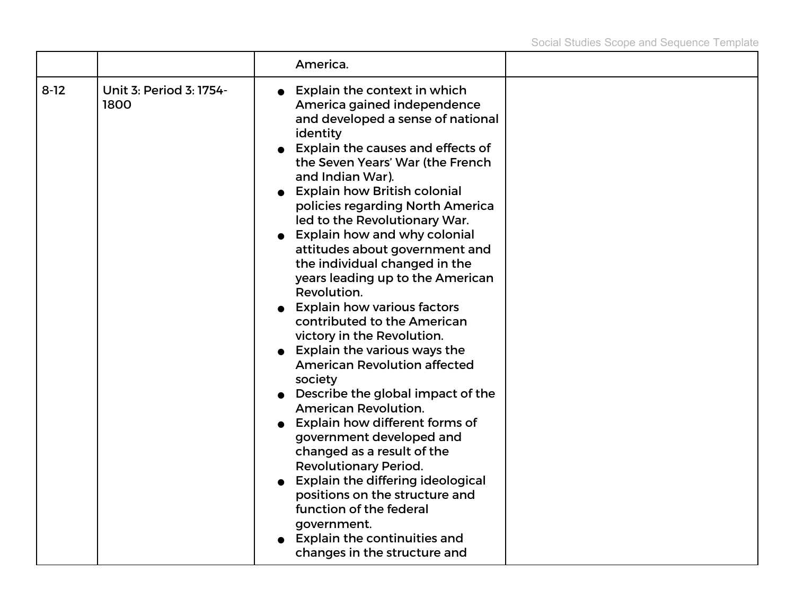|          |                                 | America.                                                                                                                                                                                                                                                                                                                                                                                                                                                                                                                                                                                                                                                                                                                                                                                                                                                                                                                                                                                                                                                                  |  |
|----------|---------------------------------|---------------------------------------------------------------------------------------------------------------------------------------------------------------------------------------------------------------------------------------------------------------------------------------------------------------------------------------------------------------------------------------------------------------------------------------------------------------------------------------------------------------------------------------------------------------------------------------------------------------------------------------------------------------------------------------------------------------------------------------------------------------------------------------------------------------------------------------------------------------------------------------------------------------------------------------------------------------------------------------------------------------------------------------------------------------------------|--|
| $8 - 12$ | Unit 3: Period 3: 1754-<br>1800 | Explain the context in which<br>America gained independence<br>and developed a sense of national<br>identity<br>Explain the causes and effects of<br>the Seven Years' War (the French<br>and Indian War).<br><b>Explain how British colonial</b><br>policies regarding North America<br>led to the Revolutionary War.<br><b>Explain how and why colonial</b><br>attitudes about government and<br>the individual changed in the<br>years leading up to the American<br>Revolution.<br><b>Explain how various factors</b><br>contributed to the American<br>victory in the Revolution.<br>$\bullet$ Explain the various ways the<br><b>American Revolution affected</b><br>society<br>Describe the global impact of the<br><b>American Revolution.</b><br>Explain how different forms of<br>government developed and<br>changed as a result of the<br><b>Revolutionary Period.</b><br><b>Explain the differing ideological</b><br>positions on the structure and<br>function of the federal<br>government.<br>Explain the continuities and<br>changes in the structure and |  |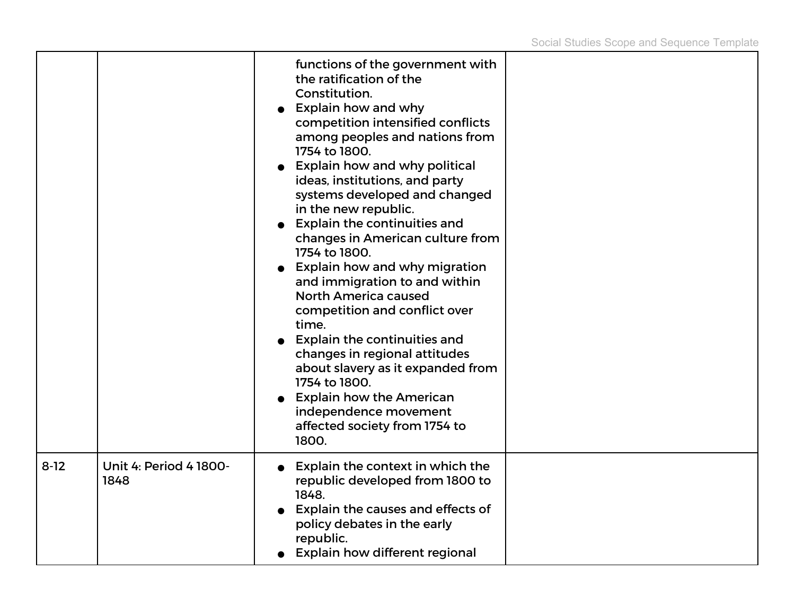|        |                                       | functions of the government with<br>the ratification of the<br>Constitution.<br>Explain how and why<br>competition intensified conflicts<br>among peoples and nations from<br>1754 to 1800.<br>Explain how and why political<br>ideas, institutions, and party<br>systems developed and changed<br>in the new republic.<br><b>Explain the continuities and</b><br>changes in American culture from<br>1754 to 1800.<br>Explain how and why migration<br>and immigration to and within<br><b>North America caused</b><br>competition and conflict over<br>time.<br><b>Explain the continuities and</b><br>changes in regional attitudes<br>about slavery as it expanded from<br>1754 to 1800.<br><b>Explain how the American</b><br>independence movement<br>affected society from 1754 to<br>1800. |  |
|--------|---------------------------------------|----------------------------------------------------------------------------------------------------------------------------------------------------------------------------------------------------------------------------------------------------------------------------------------------------------------------------------------------------------------------------------------------------------------------------------------------------------------------------------------------------------------------------------------------------------------------------------------------------------------------------------------------------------------------------------------------------------------------------------------------------------------------------------------------------|--|
| $8-12$ | <b>Unit 4: Period 4 1800-</b><br>1848 | Explain the context in which the<br>republic developed from 1800 to<br>1848.<br>Explain the causes and effects of<br>policy debates in the early<br>republic.<br>Explain how different regional                                                                                                                                                                                                                                                                                                                                                                                                                                                                                                                                                                                                    |  |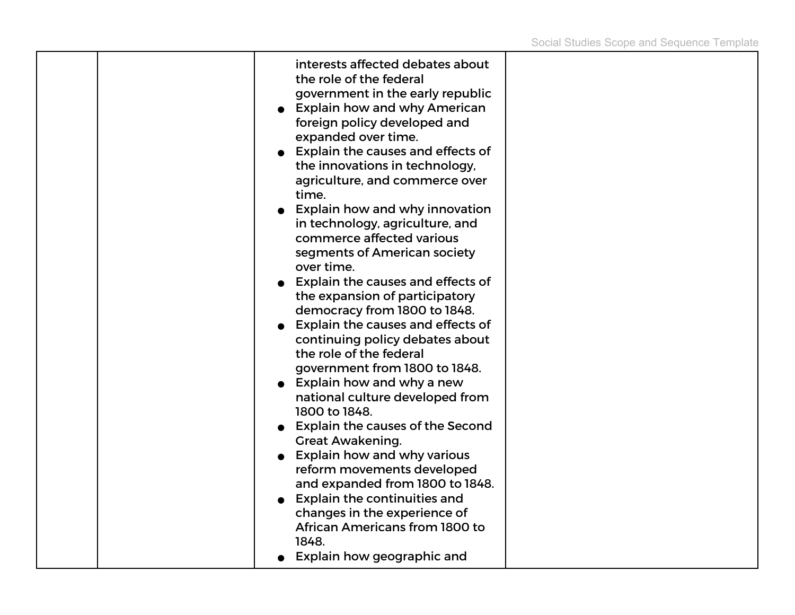т

| interests affected debates about<br>the role of the federal<br>government in the early republic<br><b>Explain how and why American</b><br>foreign policy developed and<br>expanded over time.<br><b>Explain the causes and effects of</b><br>the innovations in technology,<br>agriculture, and commerce over<br>time.<br><b>Explain how and why innovation</b><br>in technology, agriculture, and<br>commerce affected various<br>segments of American society<br>over time.<br><b>Explain the causes and effects of</b><br>the expansion of participatory<br>democracy from 1800 to 1848.<br>Explain the causes and effects of<br>continuing policy debates about<br>the role of the federal<br>government from 1800 to 1848.<br>Explain how and why a new<br>national culture developed from<br>1800 to 1848.<br><b>Explain the causes of the Second</b><br><b>Great Awakening.</b><br><b>Explain how and why various</b><br>reform movements developed<br>and expanded from 1800 to 1848.<br><b>Explain the continuities and</b><br>changes in the experience of<br>African Americans from 1800 to<br>1848. |  |
|-----------------------------------------------------------------------------------------------------------------------------------------------------------------------------------------------------------------------------------------------------------------------------------------------------------------------------------------------------------------------------------------------------------------------------------------------------------------------------------------------------------------------------------------------------------------------------------------------------------------------------------------------------------------------------------------------------------------------------------------------------------------------------------------------------------------------------------------------------------------------------------------------------------------------------------------------------------------------------------------------------------------------------------------------------------------------------------------------------------------|--|
|-----------------------------------------------------------------------------------------------------------------------------------------------------------------------------------------------------------------------------------------------------------------------------------------------------------------------------------------------------------------------------------------------------------------------------------------------------------------------------------------------------------------------------------------------------------------------------------------------------------------------------------------------------------------------------------------------------------------------------------------------------------------------------------------------------------------------------------------------------------------------------------------------------------------------------------------------------------------------------------------------------------------------------------------------------------------------------------------------------------------|--|

┯

т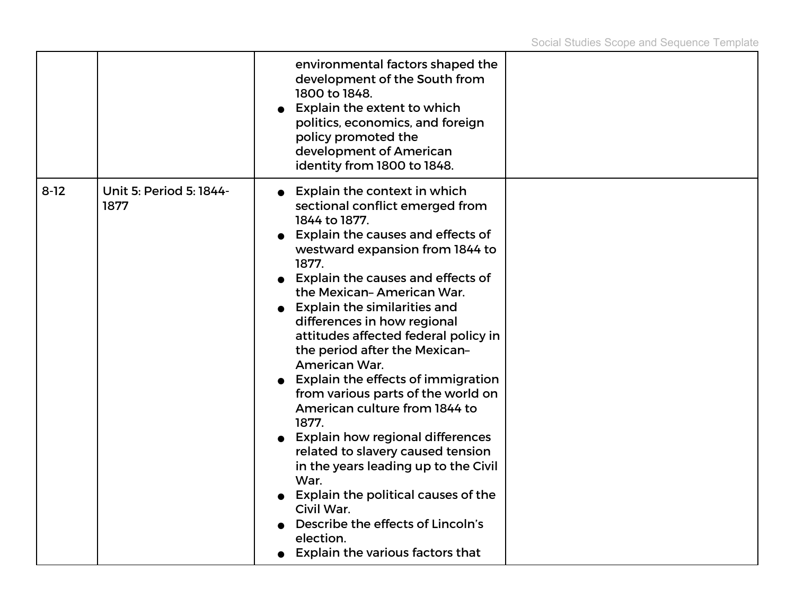|        |                                 | environmental factors shaped the<br>development of the South from<br>1800 to 1848.<br>Explain the extent to which<br>politics, economics, and foreign<br>policy promoted the<br>development of American<br>identity from 1800 to 1848.                                                                                                                                                                                                                                                                                                                                                                                                                                                                                                                                                                             |  |
|--------|---------------------------------|--------------------------------------------------------------------------------------------------------------------------------------------------------------------------------------------------------------------------------------------------------------------------------------------------------------------------------------------------------------------------------------------------------------------------------------------------------------------------------------------------------------------------------------------------------------------------------------------------------------------------------------------------------------------------------------------------------------------------------------------------------------------------------------------------------------------|--|
| $8-12$ | Unit 5: Period 5: 1844-<br>1877 | Explain the context in which<br>sectional conflict emerged from<br>1844 to 1877.<br>Explain the causes and effects of<br>westward expansion from 1844 to<br>1877.<br><b>Explain the causes and effects of</b><br>the Mexican-American War.<br><b>Explain the similarities and</b><br>differences in how regional<br>attitudes affected federal policy in<br>the period after the Mexican-<br>American War.<br><b>Explain the effects of immigration</b><br>from various parts of the world on<br>American culture from 1844 to<br>1877.<br><b>Explain how regional differences</b><br>related to slavery caused tension<br>in the years leading up to the Civil<br>War.<br>Explain the political causes of the<br>Civil War.<br>Describe the effects of Lincoln's<br>election.<br>Explain the various factors that |  |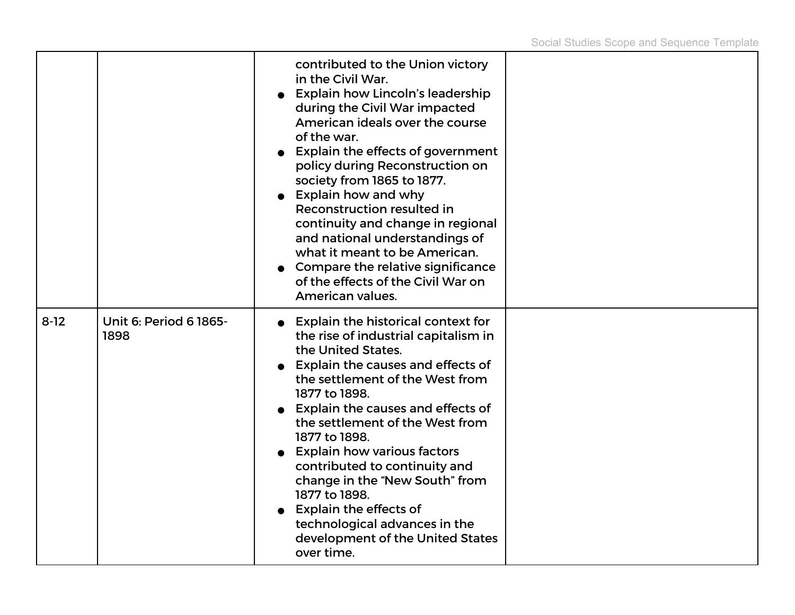|          |                                | contributed to the Union victory<br>in the Civil War.<br><b>Explain how Lincoln's leadership</b><br>during the Civil War impacted<br>American ideals over the course<br>of the war.<br><b>Explain the effects of government</b><br>policy during Reconstruction on<br>society from 1865 to 1877.<br>$\bullet$ Explain how and why<br>Reconstruction resulted in<br>continuity and change in regional<br>and national understandings of<br>what it meant to be American.<br>Compare the relative significance<br>of the effects of the Civil War on<br>American values. |  |
|----------|--------------------------------|------------------------------------------------------------------------------------------------------------------------------------------------------------------------------------------------------------------------------------------------------------------------------------------------------------------------------------------------------------------------------------------------------------------------------------------------------------------------------------------------------------------------------------------------------------------------|--|
| $8 - 12$ | Unit 6: Period 6 1865-<br>1898 | <b>Explain the historical context for</b><br>the rise of industrial capitalism in<br>the United States.<br>• Explain the causes and effects of<br>the settlement of the West from<br>1877 to 1898.<br><b>Explain the causes and effects of</b><br>the settlement of the West from<br>1877 to 1898.<br><b>Explain how various factors</b><br>contributed to continuity and<br>change in the "New South" from<br>1877 to 1898.<br><b>Explain the effects of</b><br>technological advances in the<br>development of the United States<br>over time.                       |  |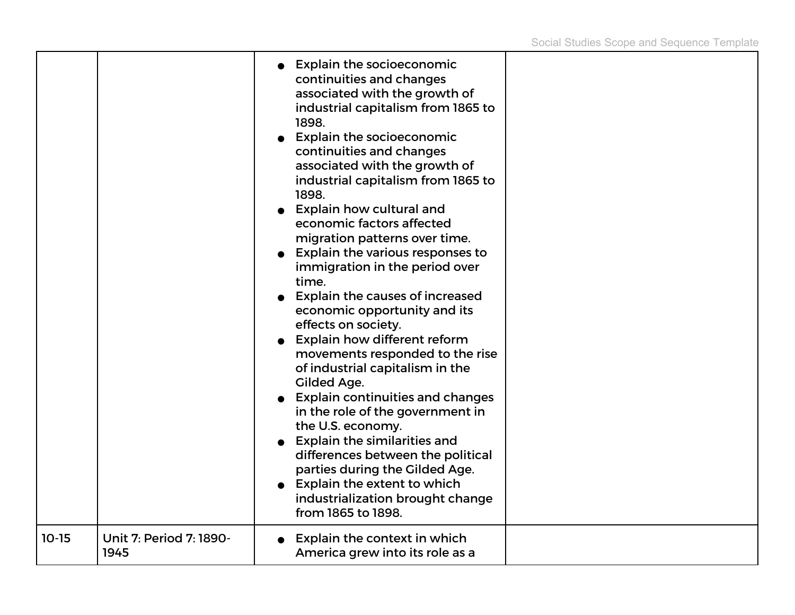|         |                                 | <b>Explain the socioeconomic</b><br>continuities and changes<br>associated with the growth of<br>industrial capitalism from 1865 to<br>1898.<br><b>Explain the socioeconomic</b><br>continuities and changes<br>associated with the growth of<br>industrial capitalism from 1865 to<br>1898.<br>• Explain how cultural and<br>economic factors affected<br>migration patterns over time.<br>Explain the various responses to<br>immigration in the period over<br>time.<br>Explain the causes of increased<br>economic opportunity and its<br>effects on society.<br>Explain how different reform<br>movements responded to the rise<br>of industrial capitalism in the<br>Gilded Age.<br><b>Explain continuities and changes</b><br>in the role of the government in<br>the U.S. economy.<br><b>Explain the similarities and</b><br>differences between the political<br>parties during the Gilded Age.<br>Explain the extent to which<br>industrialization brought change<br>from 1865 to 1898. |  |
|---------|---------------------------------|---------------------------------------------------------------------------------------------------------------------------------------------------------------------------------------------------------------------------------------------------------------------------------------------------------------------------------------------------------------------------------------------------------------------------------------------------------------------------------------------------------------------------------------------------------------------------------------------------------------------------------------------------------------------------------------------------------------------------------------------------------------------------------------------------------------------------------------------------------------------------------------------------------------------------------------------------------------------------------------------------|--|
| $10-15$ | Unit 7: Period 7: 1890-<br>1945 | Explain the context in which<br>America grew into its role as a                                                                                                                                                                                                                                                                                                                                                                                                                                                                                                                                                                                                                                                                                                                                                                                                                                                                                                                                   |  |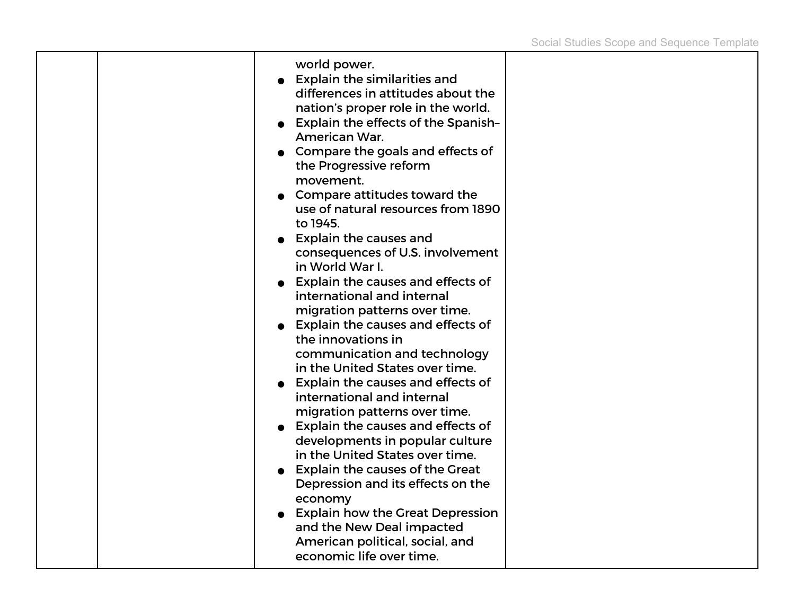|  | world power.<br><b>Explain the similarities and</b><br>differences in attitudes about the<br>nation's proper role in the world.<br><b>Explain the effects of the Spanish-</b><br>American War.<br>Compare the goals and effects of<br>the Progressive reform<br>movement.<br>Compare attitudes toward the<br>use of natural resources from 1890<br>to 1945.<br><b>Explain the causes and</b><br>consequences of U.S. involvement<br>in World War I.<br>Explain the causes and effects of<br>international and internal<br>migration patterns over time.<br>• Explain the causes and effects of<br>the innovations in<br>communication and technology<br>in the United States over time.<br><b>Explain the causes and effects of</b><br>international and internal<br>migration patterns over time.<br><b>Explain the causes and effects of</b><br>developments in popular culture<br>in the United States over time.<br><b>Explain the causes of the Great</b><br>Depression and its effects on the<br>economy<br><b>Explain how the Great Depression</b><br>and the New Deal impacted |  |
|--|----------------------------------------------------------------------------------------------------------------------------------------------------------------------------------------------------------------------------------------------------------------------------------------------------------------------------------------------------------------------------------------------------------------------------------------------------------------------------------------------------------------------------------------------------------------------------------------------------------------------------------------------------------------------------------------------------------------------------------------------------------------------------------------------------------------------------------------------------------------------------------------------------------------------------------------------------------------------------------------------------------------------------------------------------------------------------------------|--|
|  | American political, social, and<br>economic life over time.                                                                                                                                                                                                                                                                                                                                                                                                                                                                                                                                                                                                                                                                                                                                                                                                                                                                                                                                                                                                                            |  |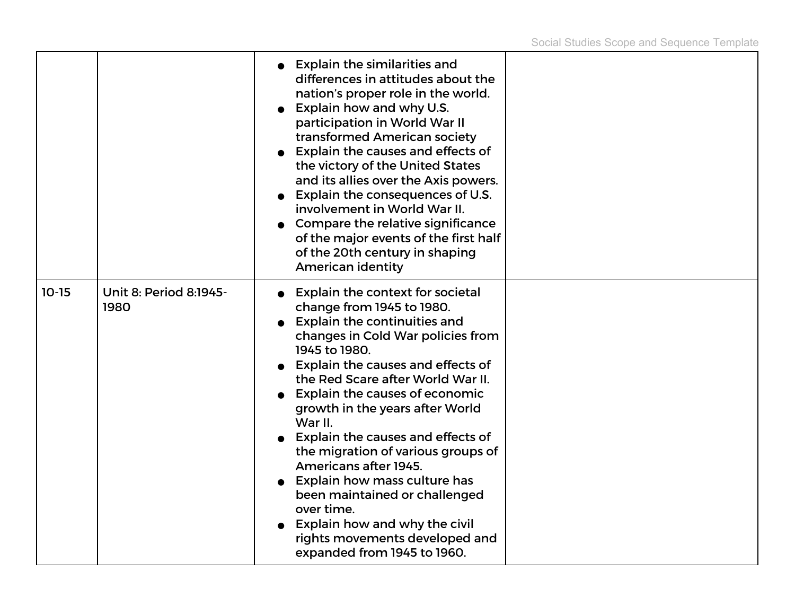|         |                                | <b>Explain the similarities and</b><br>differences in attitudes about the<br>nation's proper role in the world.<br>Explain how and why U.S.<br>participation in World War II<br>transformed American society<br>Explain the causes and effects of<br>the victory of the United States<br>and its allies over the Axis powers.<br>Explain the consequences of U.S.<br>involvement in World War II.<br>Compare the relative significance<br>of the major events of the first half<br>of the 20th century in shaping<br>American identity                                                                                                  |  |
|---------|--------------------------------|-----------------------------------------------------------------------------------------------------------------------------------------------------------------------------------------------------------------------------------------------------------------------------------------------------------------------------------------------------------------------------------------------------------------------------------------------------------------------------------------------------------------------------------------------------------------------------------------------------------------------------------------|--|
| $10-15$ | Unit 8: Period 8:1945-<br>1980 | <b>Explain the context for societal</b><br>change from 1945 to 1980.<br><b>Explain the continuities and</b><br>changes in Cold War policies from<br>1945 to 1980.<br>• Explain the causes and effects of<br>the Red Scare after World War II.<br><b>Explain the causes of economic</b><br>growth in the years after World<br>War II.<br><b>Explain the causes and effects of</b><br>the migration of various groups of<br>Americans after 1945.<br><b>Explain how mass culture has</b><br>been maintained or challenged<br>over time.<br>Explain how and why the civil<br>rights movements developed and<br>expanded from 1945 to 1960. |  |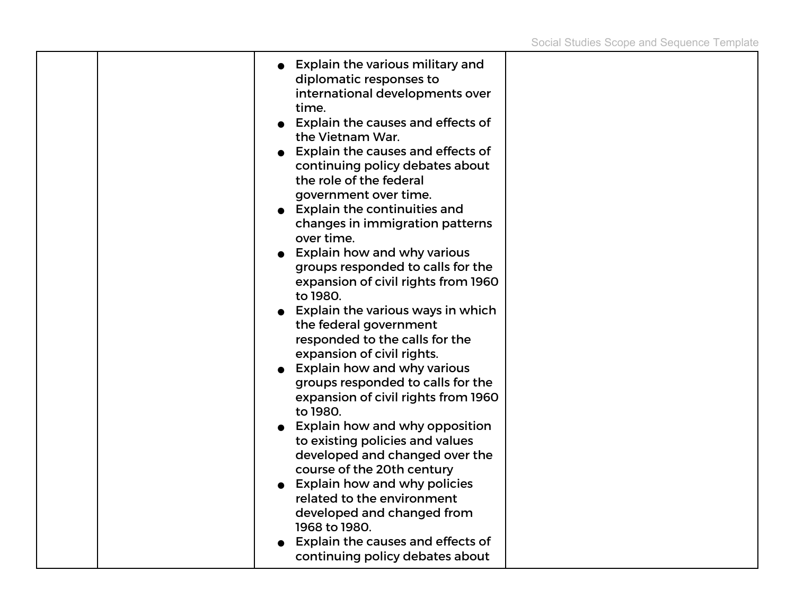| time.<br>Explain the causes and effects of<br>the Vietnam War.<br>Explain the causes and effects of<br>continuing policy debates about<br>the role of the federal<br>government over time.<br>Explain the continuities and<br>changes in immigration patterns<br>over time.<br>Explain how and why various<br>groups responded to calls for the<br>expansion of civil rights from 1960<br>to 1980.<br>Explain the various ways in which<br>the federal government<br>responded to the calls for the<br>expansion of civil rights.<br>Explain how and why various<br>groups responded to calls for the<br>expansion of civil rights from 1960<br>to 1980.<br>Explain how and why opposition<br>to existing policies and values<br>developed and changed over the<br>course of the 20th century<br>• Explain how and why policies<br>related to the environment<br>developed and changed from<br>1968 to 1980.<br>Explain the causes and effects of<br>continuing policy debates about |  |
|--------------------------------------------------------------------------------------------------------------------------------------------------------------------------------------------------------------------------------------------------------------------------------------------------------------------------------------------------------------------------------------------------------------------------------------------------------------------------------------------------------------------------------------------------------------------------------------------------------------------------------------------------------------------------------------------------------------------------------------------------------------------------------------------------------------------------------------------------------------------------------------------------------------------------------------------------------------------------------------|--|
|--------------------------------------------------------------------------------------------------------------------------------------------------------------------------------------------------------------------------------------------------------------------------------------------------------------------------------------------------------------------------------------------------------------------------------------------------------------------------------------------------------------------------------------------------------------------------------------------------------------------------------------------------------------------------------------------------------------------------------------------------------------------------------------------------------------------------------------------------------------------------------------------------------------------------------------------------------------------------------------|--|